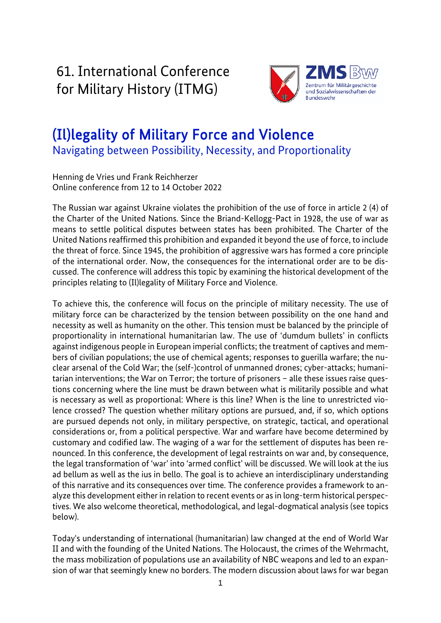61. International Conference for Military History (ITMG)



# (Il)legality of Military Force and Violence Navigating between Possibility, Necessity, and Proportionality

Henning de Vries und Frank Reichherzer Online conference from 12 to 14 October 2022

The Russian war against Ukraine violates the prohibition of the use of force in article 2 (4) of the Charter of the United Nations. Since the Briand-Kellogg-Pact in 1928, the use of war as means to settle political disputes between states has been prohibited. The Charter of the United Nations reaffirmed this prohibition and expanded it beyond the use of force, to include the threat of force. Since 1945, the prohibition of aggressive wars has formed a core principle of the international order. Now, the consequences for the international order are to be discussed. The conference will address this topic by examining the historical development of the principles relating to (Il)legality of Military Force and Violence.

To achieve this, the conference will focus on the principle of military necessity. The use of military force can be characterized by the tension between possibility on the one hand and necessity as well as humanity on the other. This tension must be balanced by the principle of proportionality in international humanitarian law. The use of 'dumdum bullets' in conflicts against indigenous people in European imperial conflicts; the treatment of captives and members of civilian populations; the use of chemical agents; responses to guerilla warfare; the nuclear arsenal of the Cold War; the (self-)control of unmanned drones; cyber-attacks; humanitarian interventions; the War on Terror; the torture of prisoners – alle these issues raise questions concerning where the line must be drawn between what is militarily possible and what is necessary as well as proportional: Where is this line? When is the line to unrestricted violence crossed? The question whether military options are pursued, and, if so, which options are pursued depends not only, in military perspective, on strategic, tactical, and operational considerations or, from a political perspective. War and warfare have become determined by customary and codified law. The waging of a war for the settlement of disputes has been renounced. In this conference, the development of legal restraints on war and, by consequence, the legal transformation of 'war' into 'armed conflict' will be discussed. We will look at the ius ad bellum as well as the ius in bello. The goal is to achieve an interdisciplinary understanding of this narrative and its consequences over time. The conference provides a framework to analyze this development either in relation to recent events or as in long-term historical perspectives. We also welcome theoretical, methodological, and legal-dogmatical analysis (see topics below).

Today's understanding of international (humanitarian) law changed at the end of World War II and with the founding of the United Nations. The Holocaust, the crimes of the Wehrmacht, the mass mobilization of populations use an availability of NBC weapons and led to an expansion of war that seemingly knew no borders. The modern discussion about laws for war began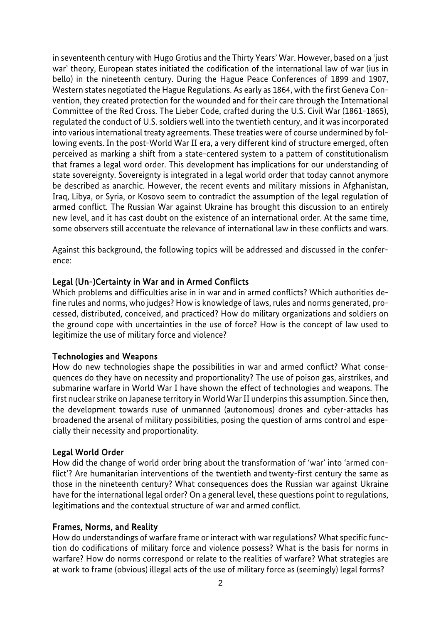in seventeenth century with Hugo Grotius and the Thirty Years' War. However, based on a 'just war' theory, European states initiated the codification of the international law of war (ius in bello) in the nineteenth century. During the Hague Peace Conferences of 1899 and 1907, Western states negotiated the Hague Regulations. As early as 1864, with the first Geneva Convention, they created protection for the wounded and for their care through the International Committee of the Red Cross. The Lieber Code, crafted during the U.S. Civil War (1861-1865), regulated the conduct of U.S. soldiers well into the twentieth century, and it was incorporated into various international treaty agreements. These treaties were of course undermined by following events. In the post-World War II era, a very different kind of structure emerged, often perceived as marking a shift from a state-centered system to a pattern of constitutionalism that frames a legal word order. This development has implications for our understanding of state sovereignty. Sovereignty is integrated in a legal world order that today cannot anymore be described as anarchic. However, the recent events and military missions in Afghanistan, Iraq, Libya, or Syria, or Kosovo seem to contradict the assumption of the legal regulation of armed conflict. The Russian War against Ukraine has brought this discussion to an entirely new level, and it has cast doubt on the existence of an international order. At the same time, some observers still accentuate the relevance of international law in these conflicts and wars.

Against this background, the following topics will be addressed and discussed in the conference:

# Legal (Un-)Certainty in War and in Armed Conflicts

Which problems and difficulties arise in in war and in armed conflicts? Which authorities define rules and norms, who judges? How is knowledge of laws, rules and norms generated, processed, distributed, conceived, and practiced? How do military organizations and soldiers on the ground cope with uncertainties in the use of force? How is the concept of law used to legitimize the use of military force and violence?

#### Technologies and Weapons

How do new technologies shape the possibilities in war and armed conflict? What consequences do they have on necessity and proportionality? The use of poison gas, airstrikes, and submarine warfare in World War I have shown the effect of technologies and weapons. The first nuclear strike on Japanese territory in World War II underpins this assumption. Since then, the development towards ruse of unmanned (autonomous) drones and cyber-attacks has broadened the arsenal of military possibilities, posing the question of arms control and especially their necessity and proportionality.

#### Legal World Order

How did the change of world order bring about the transformation of 'war' into 'armed conflict'? Are humanitarian interventions of the twentieth and twenty-first century the same as those in the nineteenth century? What consequences does the Russian war against Ukraine have for the international legal order? On a general level, these questions point to regulations, legitimations and the contextual structure of war and armed conflict.

#### Frames, Norms, and Reality

How do understandings of warfare frame or interact with war regulations? What specific function do codifications of military force and violence possess? What is the basis for norms in warfare? How do norms correspond or relate to the realities of warfare? What strategies are at work to frame (obvious) illegal acts of the use of military force as (seemingly) legal forms?